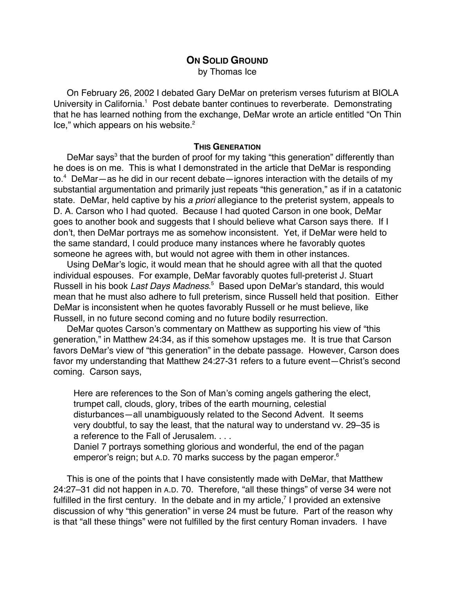# **ON SOLID GROUND**

by Thomas Ice

On February 26, 2002 I debated Gary DeMar on preterism verses futurism at BIOLA University in California.<sup>1</sup> Post debate banter continues to reverberate. Demonstrating that he has learned nothing from the exchange, DeMar wrote an article entitled "On Thin Ice," which appears on his website.<sup>2</sup>

## **THIS GENERATION**

DeMar says<sup>3</sup> that the burden of proof for my taking "this generation" differently than he does is on me. This is what I demonstrated in the article that DeMar is responding to.<sup>4</sup> DeMar—as he did in our recent debate—ignores interaction with the details of my substantial argumentation and primarily just repeats "this generation," as if in a catatonic state. DeMar, held captive by his a priori allegiance to the preterist system, appeals to D. A. Carson who I had quoted. Because I had quoted Carson in one book, DeMar goes to another book and suggests that I should believe what Carson says there. If I don't, then DeMar portrays me as somehow inconsistent. Yet, if DeMar were held to the same standard, I could produce many instances where he favorably quotes someone he agrees with, but would not agree with them in other instances.

Using DeMar's logic, it would mean that he should agree with all that the quoted individual espouses. For example, DeMar favorably quotes full-preterist J. Stuart Russell in his book Last Days Madness.<sup>5</sup> Based upon DeMar's standard, this would mean that he must also adhere to full preterism, since Russell held that position. Either DeMar is inconsistent when he quotes favorably Russell or he must believe, like Russell, in no future second coming and no future bodily resurrection.

DeMar quotes Carson's commentary on Matthew as supporting his view of "this generation," in Matthew 24:34, as if this somehow upstages me. It is true that Carson favors DeMar's view of "this generation" in the debate passage. However, Carson does favor my understanding that Matthew 24:27-31 refers to a future event—Christ's second coming. Carson says,

Here are references to the Son of Man's coming angels gathering the elect, trumpet call, clouds, glory, tribes of the earth mourning, celestial disturbances—all unambiguously related to the Second Advent. It seems very doubtful, to say the least, that the natural way to understand vv. 29–35 is a reference to the Fall of Jerusalem. . . .

Daniel 7 portrays something glorious and wonderful, the end of the pagan emperor's reign; but A.D. 70 marks success by the pagan emperor.<sup>6</sup>

This is one of the points that I have consistently made with DeMar, that Matthew 24:27–31 did not happen in A.D. 70. Therefore, "all these things" of verse 34 were not fulfilled in the first century. In the debate and in my article,<sup>7</sup> I provided an extensive discussion of why "this generation" in verse 24 must be future. Part of the reason why is that "all these things" were not fulfilled by the first century Roman invaders. I have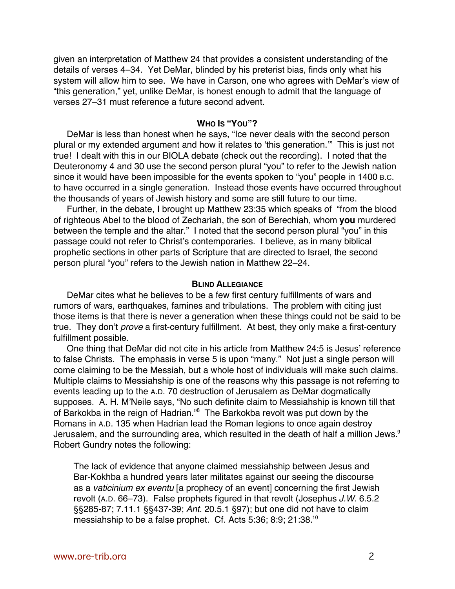given an interpretation of Matthew 24 that provides a consistent understanding of the details of verses 4–34. Yet DeMar, blinded by his preterist bias, finds only what his system will allow him to see. We have in Carson, one who agrees with DeMar's view of "this generation," yet, unlike DeMar, is honest enough to admit that the language of verses 27–31 must reference a future second advent.

### **WHO IS "YOU"?**

DeMar is less than honest when he says, "Ice never deals with the second person plural or my extended argument and how it relates to 'this generation.'" This is just not true! I dealt with this in our BIOLA debate (check out the recording). I noted that the Deuteronomy 4 and 30 use the second person plural "you" to refer to the Jewish nation since it would have been impossible for the events spoken to "you" people in 1400 B.C. to have occurred in a single generation. Instead those events have occurred throughout the thousands of years of Jewish history and some are still future to our time.

Further, in the debate, I brought up Matthew 23:35 which speaks of "from the blood of righteous Abel to the blood of Zechariah, the son of Berechiah, whom **you** murdered between the temple and the altar." I noted that the second person plural "you" in this passage could not refer to Christ's contemporaries. I believe, as in many biblical prophetic sections in other parts of Scripture that are directed to Israel, the second person plural "you" refers to the Jewish nation in Matthew 22–24.

#### **BLIND ALLEGIANCE**

DeMar cites what he believes to be a few first century fulfillments of wars and rumors of wars, earthquakes, famines and tribulations. The problem with citing just those items is that there is never a generation when these things could not be said to be true. They don't prove a first-century fulfillment. At best, they only make a first-century fulfillment possible.

One thing that DeMar did not cite in his article from Matthew 24:5 is Jesus' reference to false Christs. The emphasis in verse 5 is upon "many." Not just a single person will come claiming to be the Messiah, but a whole host of individuals will make such claims. Multiple claims to Messiahship is one of the reasons why this passage is not referring to events leading up to the A.D. 70 destruction of Jerusalem as DeMar dogmatically supposes. A. H. M'Neile says, "No such definite claim to Messiahship is known till that of Barkokba in the reign of Hadrian."<sup>8</sup> The Barkokba revolt was put down by the Romans in A.D. 135 when Hadrian lead the Roman legions to once again destroy Jerusalem, and the surrounding area, which resulted in the death of half a million Jews.<sup>9</sup> Robert Gundry notes the following:

The lack of evidence that anyone claimed messiahship between Jesus and Bar-Kokhba a hundred years later militates against our seeing the discourse as a vaticinium ex eventu [a prophecy of an event] concerning the first Jewish revolt (A.D. 66–73). False prophets figured in that revolt (Josephus J.W. 6.5.2 §§285-87; 7.11.1 §§437-39; Ant. 20.5.1 §97); but one did not have to claim messiahship to be a false prophet. Cf. Acts 5:36; 8:9; 21:38.10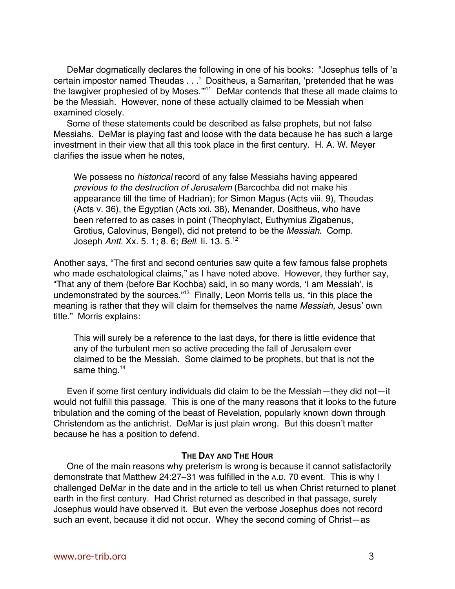DeMar dogmatically declares the following in one of his books: "Josephus tells of 'a certain impostor named Theudas . . .' Dositheus, a Samaritan, 'pretended that he was the lawgiver prophesied of by Moses.""<sup>11</sup> DeMar contends that these all made claims to be the Messiah. However, none of these actually claimed to be Messiah when examined closely.

Some of these statements could be described as false prophets, but not false Messiahs. DeMar is playing fast and loose with the data because he has such a large investment in their view that all this took place in the first century. H. A. W. Meyer clarifies the issue when he notes,

We possess no *historical* record of any false Messiahs having appeared previous to the destruction of Jerusalem (Barcochba did not make his appearance till the time of Hadrian); for Simon Magus (Acts viii. 9), Theudas (Acts v. 36), the Egyptian (Acts xxi. 38), Menander, Dositheus, who have been referred to as cases in point (Theophylact, Euthymius Zigabenus, Grotius, Calovinus, Bengel), did not pretend to be the Messiah. Comp. Joseph Antt. Xx. 5. 1; 8. 6; Bell. Ii. 13. 5.12

Another says, "The first and second centuries saw quite a few famous false prophets who made eschatological claims," as I have noted above. However, they further say, "That any of them (before Bar Kochba) said, in so many words, 'I am Messiah', is undemonstrated by the sources."<sup>13</sup> Finally, Leon Morris tells us, "in this place the meaning is rather that they will claim for themselves the name Messiah, Jesus' own title." Morris explains:

This will surely be a reference to the last days, for there is little evidence that any of the turbulent men so active preceding the fall of Jerusalem ever claimed to be the Messiah. Some claimed to be prophets, but that is not the same thing.<sup>14</sup>

Even if some first century individuals did claim to be the Messiah—they did not—it would not fulfill this passage. This is one of the many reasons that it looks to the future tribulation and the coming of the beast of Revelation, popularly known down through Christendom as the antichrist. DeMar is just plain wrong. But this doesn't matter because he has a position to defend.

# **THE DAY AND THE HOUR**

One of the main reasons why preterism is wrong is because it cannot satisfactorily demonstrate that Matthew 24:27–31 was fulfilled in the A.D. 70 event. This is why I challenged DeMar in the date and in the article to tell us when Christ returned to planet earth in the first century. Had Christ returned as described in that passage, surely Josephus would have observed it. But even the verbose Josephus does not record such an event, because it did not occur. Whey the second coming of Christ—as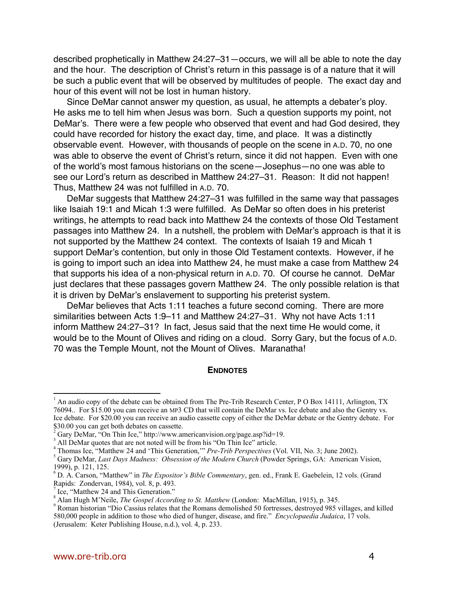described prophetically in Matthew 24:27–31—occurs, we will all be able to note the day and the hour. The description of Christ's return in this passage is of a nature that it will be such a public event that will be observed by multitudes of people. The exact day and hour of this event will not be lost in human history.

Since DeMar cannot answer my question, as usual, he attempts a debater's ploy. He asks me to tell him when Jesus was born. Such a question supports my point, not DeMar's. There were a few people who observed that event and had God desired, they could have recorded for history the exact day, time, and place. It was a distinctly observable event. However, with thousands of people on the scene in A.D. 70, no one was able to observe the event of Christ's return, since it did not happen. Even with one of the world's most famous historians on the scene—Josephus—no one was able to see our Lord's return as described in Matthew 24:27–31. Reason: It did not happen! Thus, Matthew 24 was not fulfilled in A.D. 70.

DeMar suggests that Matthew 24:27–31 was fulfilled in the same way that passages like Isaiah 19:1 and Micah 1:3 were fulfilled. As DeMar so often does in his preterist writings, he attempts to read back into Matthew 24 the contexts of those Old Testament passages into Matthew 24. In a nutshell, the problem with DeMar's approach is that it is not supported by the Matthew 24 context. The contexts of Isaiah 19 and Micah 1 support DeMar's contention, but only in those Old Testament contexts. However, if he is going to import such an idea into Matthew 24, he must make a case from Matthew 24 that supports his idea of a non-physical return in A.D. 70. Of course he cannot. DeMar just declares that these passages govern Matthew 24. The only possible relation is that it is driven by DeMar's enslavement to supporting his preterist system.

DeMar believes that Acts 1:11 teaches a future second coming. There are more similarities between Acts 1:9–11 and Matthew 24:27–31. Why not have Acts 1:11 inform Matthew 24:27–31? In fact, Jesus said that the next time He would come, it would be to the Mount of Olives and riding on a cloud. Sorry Gary, but the focus of A.D. 70 was the Temple Mount, not the Mount of Olives. Maranatha!

#### **ENDNOTES**

<sup>&</sup>lt;sup>1</sup> An audio copy of the debate can be obtained from The Pre-Trib Research Center, P O Box 14111, Arlington, TX 76094.. For \$15.00 you can receive an MP3 CD that will contain the DeMar vs. Ice debate and also the Gentry vs. Ice debate. For \$20.00 you can receive an audio cassette copy of either the DeMar debate or the Gentry debate. For \$30.00 you can get both debates on cassette.

 $2^{2}$  Gary DeMar, "On Thin Ice," http://www.americanvision.org/page.asp?id=19.

<sup>&</sup>lt;sup>3</sup> All DeMar quotes that are not noted will be from his "On Thin Ice" article.

<sup>&</sup>lt;sup>4</sup> Thomas Ice, "Matthew 24 and 'This Generation," *Pre-Trib Perspectives* (Vol. VII, No. 3; June 2002).

Gary DeMar, *Last Days Madness: Obsession of the Modern Church* (Powder Springs, GA: American Vision, 1999), p. 121, 125.

<sup>6</sup> D. A. Carson, "Matthew" in *The Expositor's Bible Commentary*, gen. ed., Frank E. Gaebelein, 12 vols. (Grand Rapids: Zondervan, 1984), vol. 8, p. 493.

<sup>&</sup>lt;sup>7</sup> Ice, "Matthew 24 and This Generation."

 $^8$  Alan Hugh M'Neile, *The Gospel According to St. Matthew* (London: MacMillan, 1915), p. 345.

<sup>&</sup>lt;sup>9</sup> Roman historian "Dio Cassius relates that the Romans demolished 50 fortresses, destroyed 985 villages, and killed 580,000 people in addition to those who died of hunger, disease, and fire." *Encyclopaedia Judaica*, 17 vols. (Jerusalem: Keter Publishing House, n.d.), vol. 4, p. 233.